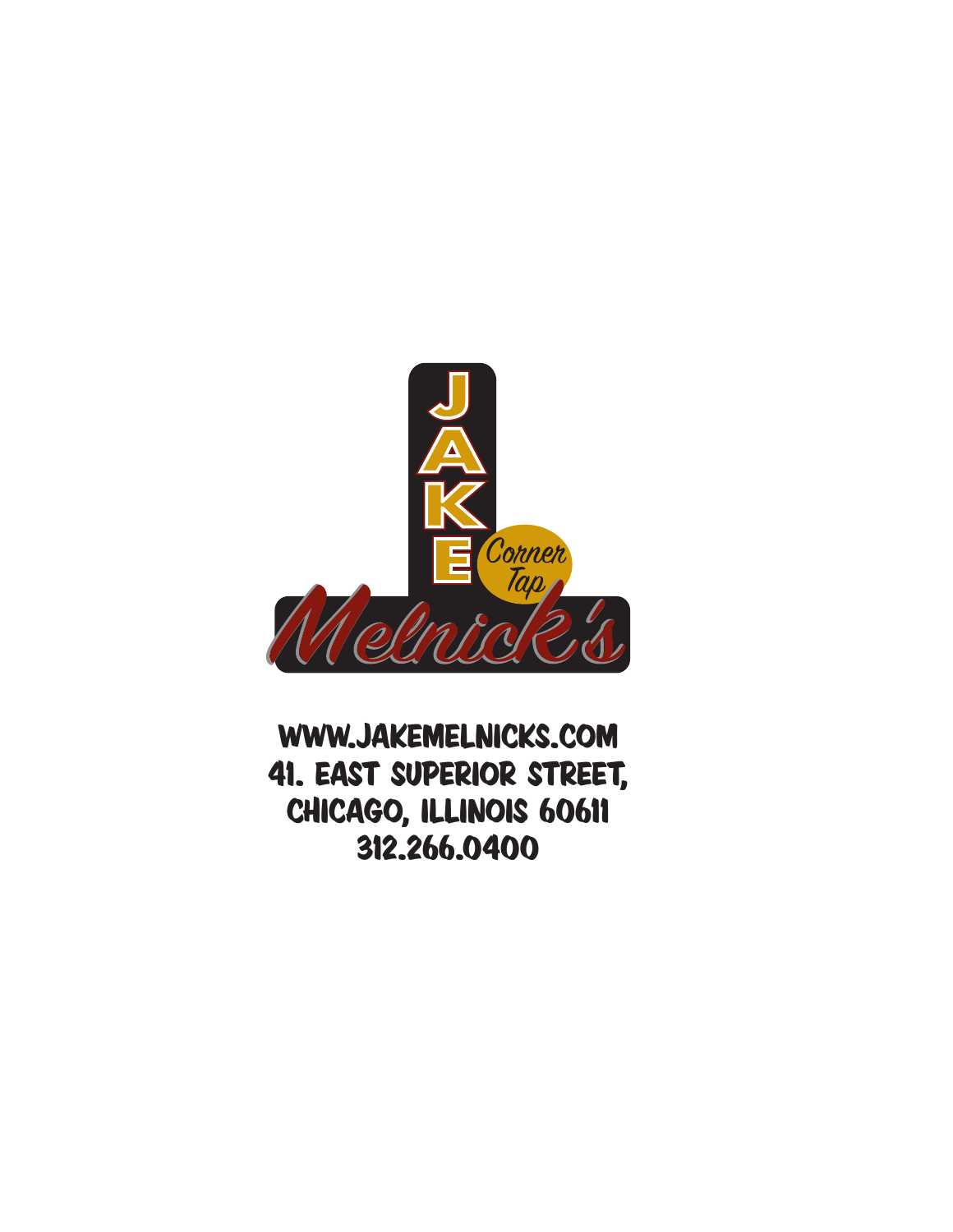

WWW.JAKEMELNICKS.COM 41. East Superior street, chicago, illinois 60611 312.266.0400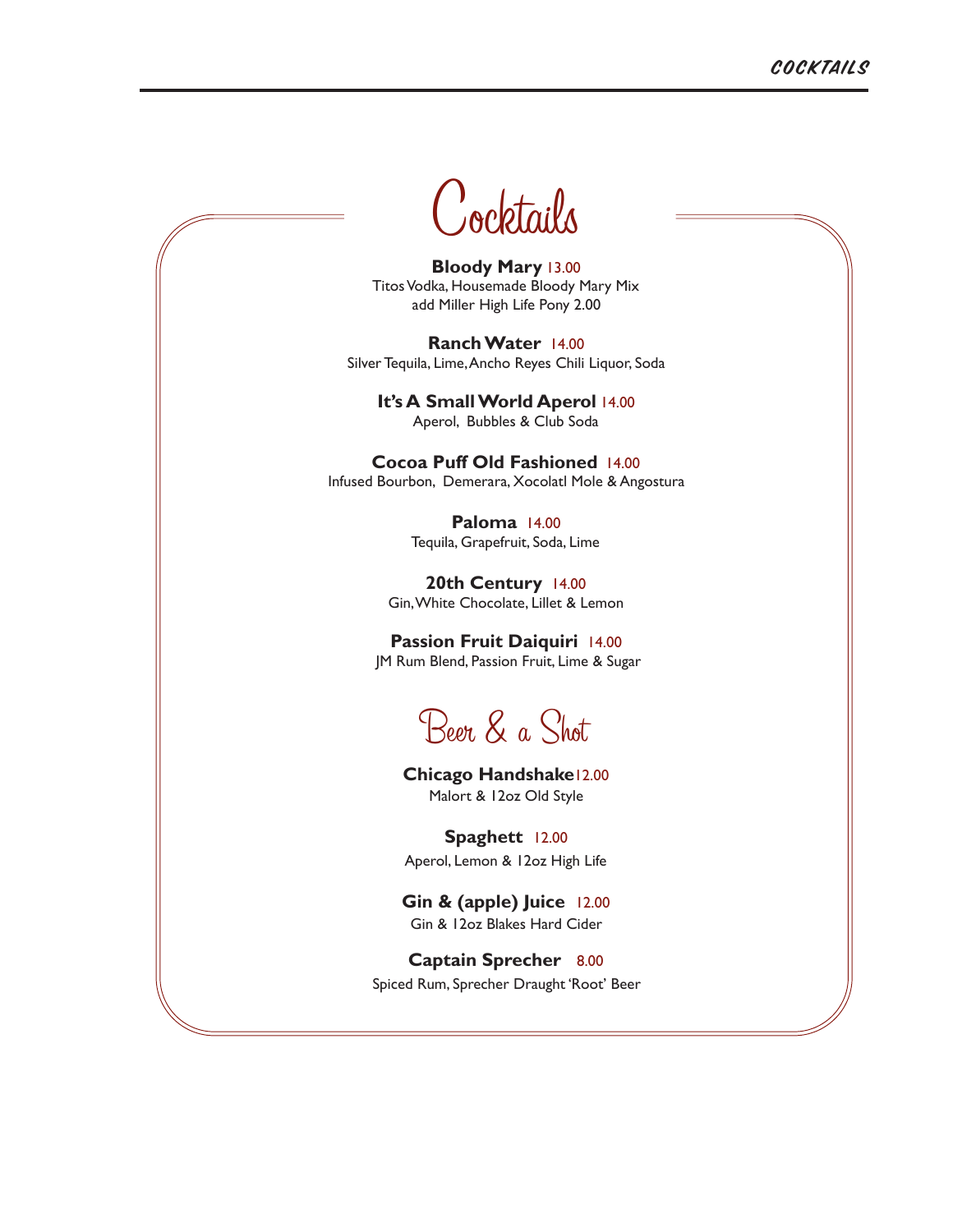

**Bloody Mary** 13.00 Titos Vodka, Housemade Bloody Mary Mix add Miller High Life Pony 2.00

**Ranch Water** 14.00 Silver Tequila, Lime, Ancho Reyes Chili Liquor, Soda

**It's A Small World Aperol** 14.00 Aperol, Bubbles & Club Soda

**Cocoa Puff Old Fashioned** 14.00 Infused Bourbon, Demerara, Xocolatl Mole & Angostura

> **Paloma** 14.00 Tequila, Grapefruit, Soda, Lime

**20th Century** 14.00 Gin, White Chocolate, Lillet & Lemon

**Passion Fruit Daiquiri** 14.00 JM Rum Blend, Passion Fruit, Lime & Sugar

Beer & a Shot

**Chicago Handshake**12.00 Malort & 12oz Old Style

**Spaghett** 12.00 Aperol, Lemon & 12oz High Life

**Gin & (apple) Juice** 12.00 Gin & 12oz Blakes Hard Cider

**Captain Sprecher** 8.00 Spiced Rum, Sprecher Draught 'Root' Beer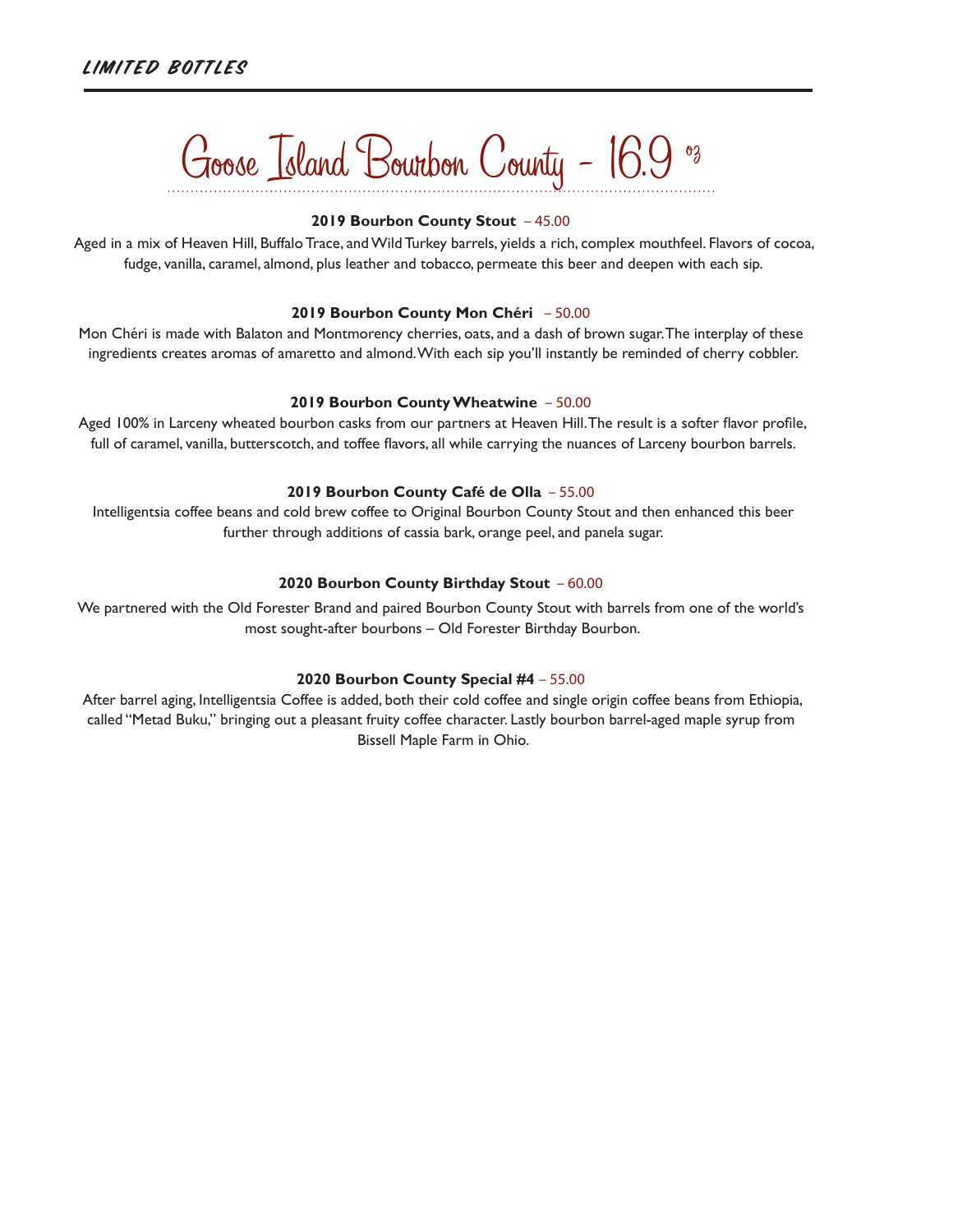# Goose Island Bourbon County - 16.9 oz

### **2019 Bourbon County Stout** – 45.00

 Aged in a mix of Heaven Hill, Buffalo Trace, and Wild Turkey barrels, yields a rich, complex mouthfeel. Flavors of cocoa, fudge, vanilla, caramel, almond, plus leather and tobacco, permeate this beer and deepen with each sip.

### **2019 Bourbon County Mon Chéri** – 50.00

Mon Chéri is made with Balaton and Montmorency cherries, oats, and a dash of brown sugar. The interplay of these ingredients creates aromas of amaretto and almond. With each sip you'll instantly be reminded of cherry cobbler.

### **2019 Bourbon County Wheatwine** – 50.00

Aged 100% in Larceny wheated bourbon casks from our partners at Heaven Hill. The result is a softer flavor profile, full of caramel, vanilla, butterscotch, and toffee flavors, all while carrying the nuances of Larceny bourbon barrels.

### **2019 Bourbon County Café de Olla** – 55.00

 Intelligentsia coffee beans and cold brew coffee to Original Bourbon County Stout and then enhanced this beer further through additions of cassia bark, orange peel, and panela sugar.

### **2020 Bourbon County Birthday Stout** – 60.00

We partnered with the Old Forester Brand and paired Bourbon County Stout with barrels from one of the world's most sought-after bourbons – Old Forester Birthday Bourbon.

### **2020 Bourbon County Special #4** – 55.00

After barrel aging, Intelligentsia Coffee is added, both their cold coffee and single origin coffee beans from Ethiopia, called "Metad Buku," bringing out a pleasant fruity coffee character. Lastly bourbon barrel-aged maple syrup from Bissell Maple Farm in Ohio.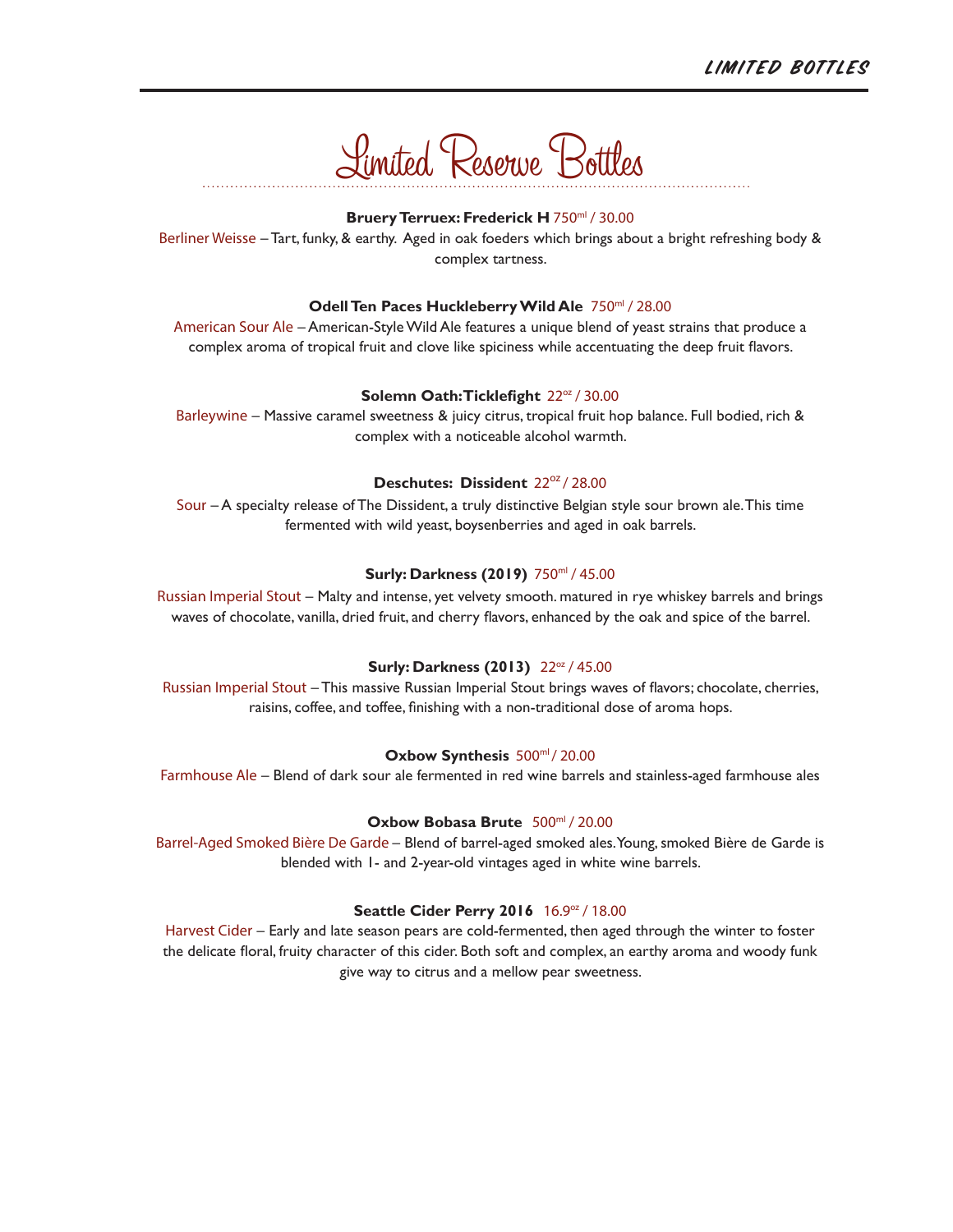

### Bruery Terruex: Frederick H 750ml / 30.00

Berliner Weisse – Tart, funky, & earthy. Aged in oak foeders which brings about a bright refreshing body & complex tartness.

### **Odell Ten Paces Huckleberry Wild Ale** 750ml / 28.00

American Sour Ale – American-Style Wild Ale features a unique blend of yeast strains that produce a complex aroma of tropical fruit and clove like spiciness while accentuating the deep fruit flavors.

### **Solemn Oath: Ticklefight**  $22^{\alpha}$  / 30.00

Barleywine – Massive caramel sweetness & juicy citrus, tropical fruit hop balance. Full bodied, rich & complex with a noticeable alcohol warmth.

### **Deschutes: Dissident** 22<sup>oz</sup> / 28.00

Sour – A specialty release of The Dissident, a truly distinctive Belgian style sour brown ale. This time fermented with wild yeast, boysenberries and aged in oak barrels.

### **Surly: Darkness (2019)** 750ml / 45.00

Russian Imperial Stout – Malty and intense, yet velvety smooth. matured in rye whiskey barrels and brings waves of chocolate, vanilla, dried fruit, and cherry flavors, enhanced by the oak and spice of the barrel.

### **Surly: Darkness (2013)** 22oz / 45.00

Russian Imperial Stout – This massive Russian Imperial Stout brings waves of flavors; chocolate, cherries, raisins, coffee, and toffee, finishing with a non-traditional dose of aroma hops.

#### Oxbow Synthesis 500ml/20.00

Farmhouse Ale – Blend of dark sour ale fermented in red wine barrels and stainless-aged farmhouse ales

### **Oxbow Bobasa Brute** 500ml / 20.00

Barrel-Aged Smoked Bière De Garde – Blend of barrel-aged smoked ales. Young, smoked Bière de Garde is blended with 1- and 2-year-old vintages aged in white wine barrels.

#### **Seattle Cider Perry 2016** 16.9oz / 18.00

Harvest Cider – Early and late season pears are cold-fermented, then aged through the winter to foster the delicate floral, fruity character of this cider. Both soft and complex, an earthy aroma and woody funk give way to citrus and a mellow pear sweetness.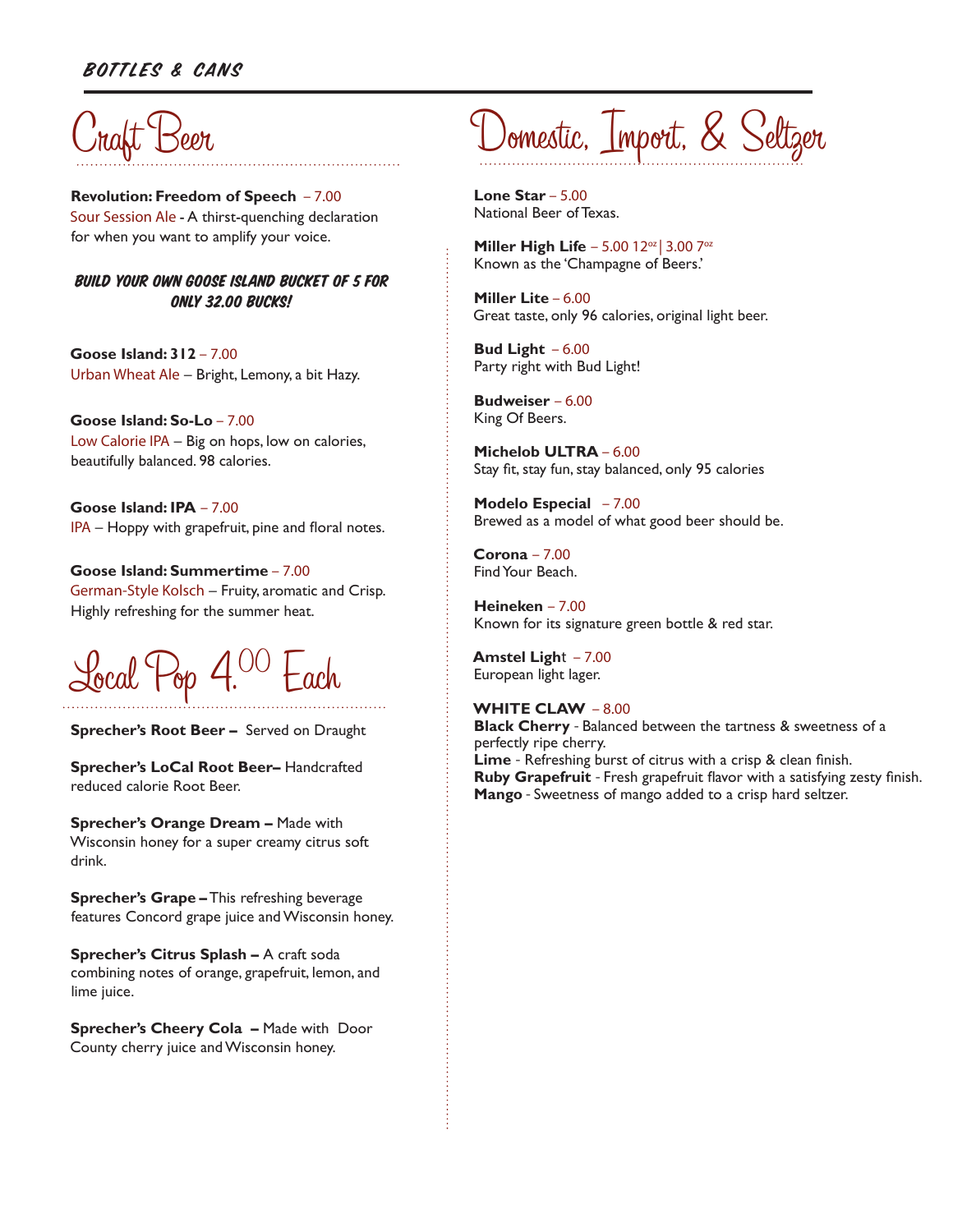### Bottles & Cans



**Revolution: Freedom of Speech** – 7.00 Sour Session Ale - A thirst-quenching declaration for when you want to amplify your voice.

BUILD YOUR OWN GOOSE ISLAND BUCKET OF 5 FOR **ONLY 32.00 BUCKS!** 

**Goose Island: 312** – 7.00 Urban Wheat Ale – Bright, Lemony, a bit Hazy.

**Goose Island: So-Lo** – 7.00 Low Calorie IPA – Big on hops, low on calories, beautifully balanced. 98 calories.

**Goose Island: IPA** – 7.00 IPA – Hoppy with grapefruit, pine and floral notes.

**Goose Island: Summertime** – 7.00 German-Style Kolsch – Fruity, aromatic and Crisp. Highly refreshing for the summer heat.



**Sprecher's Root Beer –** Served on Draught

**Sprecher's LoCal Root Beer–** Handcrafted reduced calorie Root Beer.

**Sprecher's Orange Dream –** Made with Wisconsin honey for a super creamy citrus soft drink.

**Sprecher's Grape –** This refreshing beverage features Concord grape juice and Wisconsin honey.

**Sprecher's Citrus Splash –** A craft soda combining notes of orange, grapefruit, lemon, and lime juice.

**Sprecher's Cheery Cola - Made with Door** County cherry juice and Wisconsin honey.

# Domestic, Import, & Seltzer

**Lone Star** – 5.00 National Beer of Texas.

**Miller High Life - 5.00 12<sup>oz</sup> | 3.00 7<sup>oz</sup>** Known as the 'Champagne of Beers.'

**Miller Lite** – 6.00 Great taste, only 96 calories, original light beer.

**Bud Light** – 6.00 Party right with Bud Light!

**Budweiser** – 6.00 King Of Beers.

**Michelob ULTRA** – 6.00 Stay fit, stay fun, stay balanced, only 95 calories

**Modelo Especial** – 7.00 Brewed as a model of what good beer should be.

**Corona** – 7.00 Find Your Beach.

**Heineken** – 7.00 Known for its signature green bottle & red star.

**Amstel Ligh**t – 7.00 European light lager.

**WHITE CLAW** – 8.00

**Black Cherry** - Balanced between the tartness & sweetness of a perfectly ripe cherry. **Lime** - Refreshing burst of citrus with a crisp & clean finish. **Ruby Grapefruit** - Fresh grapefruit flavor with a satisfying zesty finish. **Mango** - Sweetness of mango added to a crisp hard seltzer.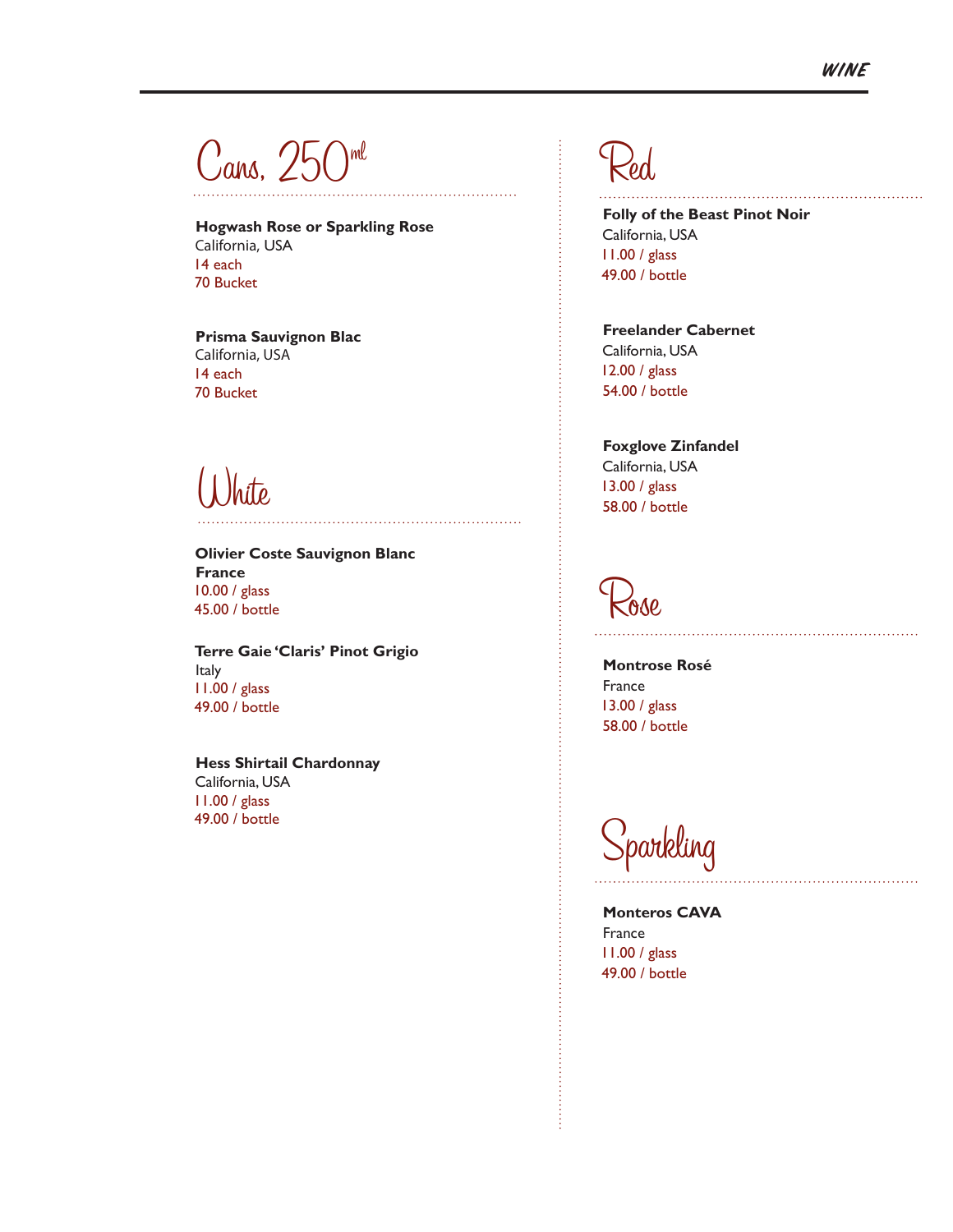$\rm {C}$ ans, 250 $^{\rm {ml}}$ 

**Hogwash Rose or Sparkling Rose** California, USA 14 each 70 Bucket

**Prisma Sauvignon Blac** California, USA 14 each 70 Bucket

White

**Olivier Coste Sauvignon Blanc France** 10.00 / glass 45.00 / bottle

**Terre Gaie 'Claris' Pinot Grigio** Italy 11.00 / glass 49.00 / bottle

**Hess Shirtail Chardonnay** California, USA 11.00 / glass 49.00 / bottle

# Red

**Folly of the Beast Pinot Noir** California, USA 11.00 / glass 49.00 / bottle

**Freelander Cabernet** California, USA 12.00 / glass 54.00 / bottle

**Foxglove Zinfandel** California, USA 13.00 / glass 58.00 / bottle

Rose

**Montrose Rosé** France 13.00 / glass 58.00 / bottle

Sparkling

**Monteros CAVA** France 11.00 / glass 49.00 / bottle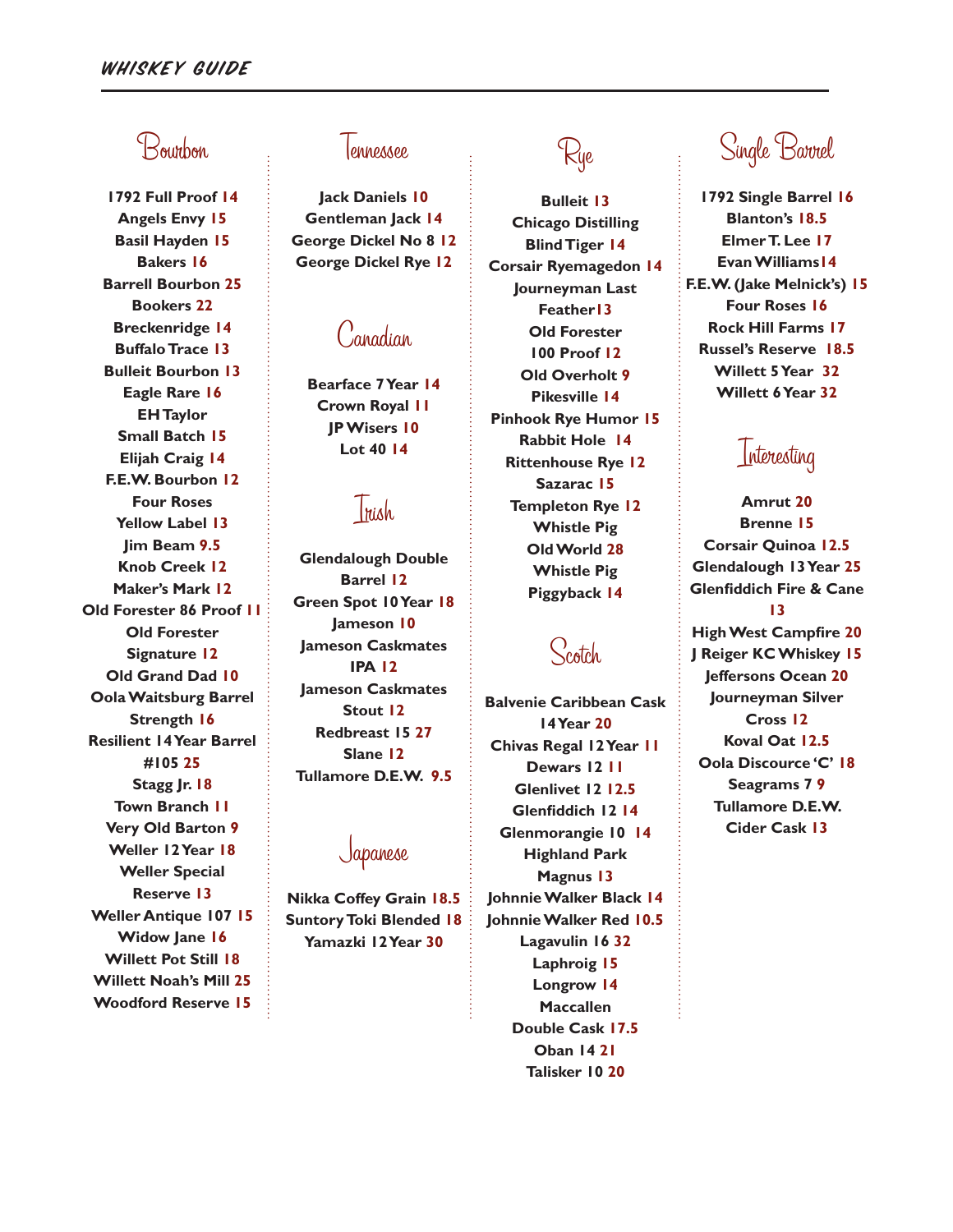## Bourbon

**1792 Full Proof 14 Angels Envy 15 Basil Hayden 15 Bakers 16 Barrell Bourbon 25 Bookers 22 Breckenridge 14 Buffalo Trace 13 Bulleit Bourbon 13 Eagle Rare 16 EH Taylor Small Batch 15 Elijah Craig 14 F.E.W. Bourbon 12 Four Roses Yellow Label 13 Jim Beam 9.5 Knob Creek 12 Maker's Mark 12 Old Forester 86 Proof 11 Old Forester Signature 12 Old Grand Dad 10 Oola Waitsburg Barrel Strength 16 Resilient 14 Year Barrel #105 25 Stagg Jr. 18 Town Branch 11 Very Old Barton 9 Weller 12 Year 18 Weller Special Reserve 13 Weller Antique 107 15 Widow Jane 16 Willett Pot Still 18 Willett Noah's Mill 25 Woodford Reserve 15**

### lonnonnoo.

**Jack Daniels 10 Gentleman Jack 14 George Dickel No 8 12 George Dickel Rye 12**

## Canadian

**Bearface 7 Year 14 Crown Royal 11 JP Wisers 10 Lot 40 14**

## Irish

**Glendalough Double Barrel 12 Green Spot 10 Year 18 Jameson 10 Jameson Caskmates IPA 12 Jameson Caskmates Stout 12 Redbreast 15 27 Slane 12 Tullamore D.E.W. 9.5**

### Japanese

**Nikka Coffey Grain 18.5 Suntory Toki Blended 18 Yamazki 12 Year 30**

## Rye

**Bulleit 13 Chicago Distilling Blind Tiger 14 Corsair Ryemagedon 14 Journeyman Last Feather13 Old Forester 100 Proof 12 Old Overholt 9 Pikesville 14 Pinhook Rye Humor 15 Rabbit Hole 14 Rittenhouse Rye 12 Sazarac 15 Templeton Rye 12 Whistle Pig Old World 28 Whistle Pig Piggyback 14**

## Scotch

**Balvenie Caribbean Cask 14 Year 20 Chivas Regal 12 Year 11 Dewars 12 11 Glenlivet 12 12.5 Glenfiddich 12 14 Glenmorangie 10 14 Highland Park Magnus 13 Johnnie Walker Black 14 Johnnie Walker Red 10.5 Lagavulin 16 32 Laphroig 15 Longrow 14 Maccallen Double Cask 17.5 Oban 14 21 Talisker 10 20**

## Single Barrel

**1792 Single Barrel 16 Blanton's 18.5 Elmer T. Lee 17 Evan Williams14 F.E.W. (Jake Melnick's) 15 Four Roses 16 Rock Hill Farms 17 Russel's Reserve 18.5 Willett 5 Year 32 Willett 6 Year 32**

## Interesting

**Amrut 20 Brenne 15 Corsair Quinoa 12.5 Glendalough 13 Year 25 Glenfiddich Fire & Cane 13 High West Campfire 20**

**J Reiger KC Whiskey 15 Jeffersons Ocean 20 Journeyman Silver Cross 12 Koval Oat 12.5 Oola Discource 'C' 18 Seagrams 7 9 Tullamore D.E.W. Cider Cask 13**